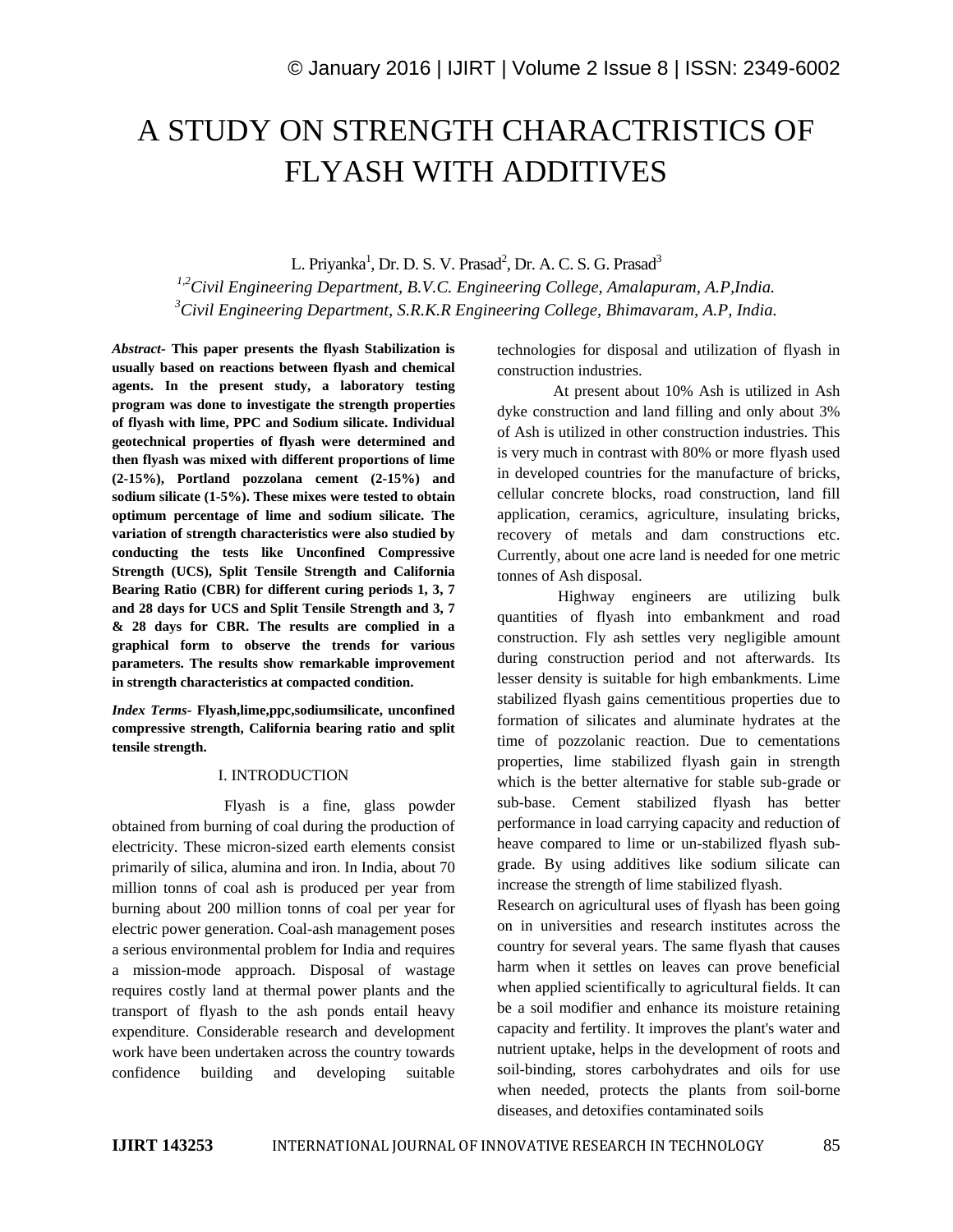# A STUDY ON STRENGTH CHARACTRISTICS OF FLYASH WITH ADDITIVES

L. Priyanka<sup>1</sup>, Dr. D. S. V. Prasad<sup>2</sup>, Dr. A. C. S. G. Prasad<sup>3</sup>

*1,2Civil Engineering Department, B.V.C. Engineering College, Amalapuram, A.P,India. <sup>3</sup>Civil Engineering Department, S.R.K.R Engineering College, Bhimavaram, A.P, India.*

*Abstract-* **This paper presents the flyash Stabilization is usually based on reactions between flyash and chemical agents. In the present study, a laboratory testing program was done to investigate the strength properties of flyash with lime, PPC and Sodium silicate. Individual geotechnical properties of flyash were determined and then flyash was mixed with different proportions of lime (2-15%), Portland pozzolana cement (2-15%) and sodium silicate (1-5%). These mixes were tested to obtain optimum percentage of lime and sodium silicate. The variation of strength characteristics were also studied by conducting the tests like Unconfined Compressive Strength (UCS), Split Tensile Strength and California Bearing Ratio (CBR) for different curing periods 1, 3, 7 and 28 days for UCS and Split Tensile Strength and 3, 7 & 28 days for CBR. The results are complied in a graphical form to observe the trends for various parameters. The results show remarkable improvement in strength characteristics at compacted condition.**

*Index Terms-* **Flyash,lime,ppc,sodiumsilicate, unconfined compressive strength, California bearing ratio and split tensile strength.**

#### I. INTRODUCTION

Flyash is a fine, glass powder obtained from burning of coal during the production of electricity. These micron-sized earth elements consist primarily of silica, alumina and iron. In India, about 70 million tonns of coal ash is produced per year from burning about 200 million tonns of coal per year for electric power generation. Coal-ash management poses a serious environmental problem for India and requires a mission-mode approach. Disposal of wastage requires costly land at thermal power plants and the transport of flyash to the ash ponds entail heavy expenditure. Considerable research and development work have been undertaken across the country towards confidence building and developing suitable

technologies for disposal and utilization of flyash in construction industries.

At present about 10% Ash is utilized in Ash dyke construction and land filling and only about 3% of Ash is utilized in other construction industries. This is very much in contrast with 80% or more flyash used in developed countries for the manufacture of bricks, cellular concrete blocks, road construction, land fill application, ceramics, agriculture, insulating bricks, recovery of metals and dam constructions etc. Currently, about one acre land is needed for one metric tonnes of Ash disposal.

Highway engineers are utilizing bulk quantities of flyash into embankment and road construction. Fly ash settles very negligible amount during construction period and not afterwards. Its lesser density is suitable for high embankments. Lime stabilized flyash gains cementitious properties due to formation of silicates and aluminate hydrates at the time of pozzolanic reaction. Due to cementations properties, lime stabilized flyash gain in strength which is the better alternative for stable sub-grade or sub-base. Cement stabilized flyash has better performance in load carrying capacity and reduction of heave compared to lime or un-stabilized flyash subgrade. By using additives like sodium silicate can increase the strength of lime stabilized flyash.

Research on agricultural uses of flyash has been going on in universities and research institutes across the country for several years. The same flyash that causes harm when it settles on leaves can prove beneficial when applied scientifically to agricultural fields. It can be a soil modifier and enhance its moisture retaining capacity and fertility. It improves the plant's water and nutrient uptake, helps in the development of roots and soil-binding, stores carbohydrates and oils for use when needed, protects the plants from soil-borne diseases, and detoxifies contaminated soils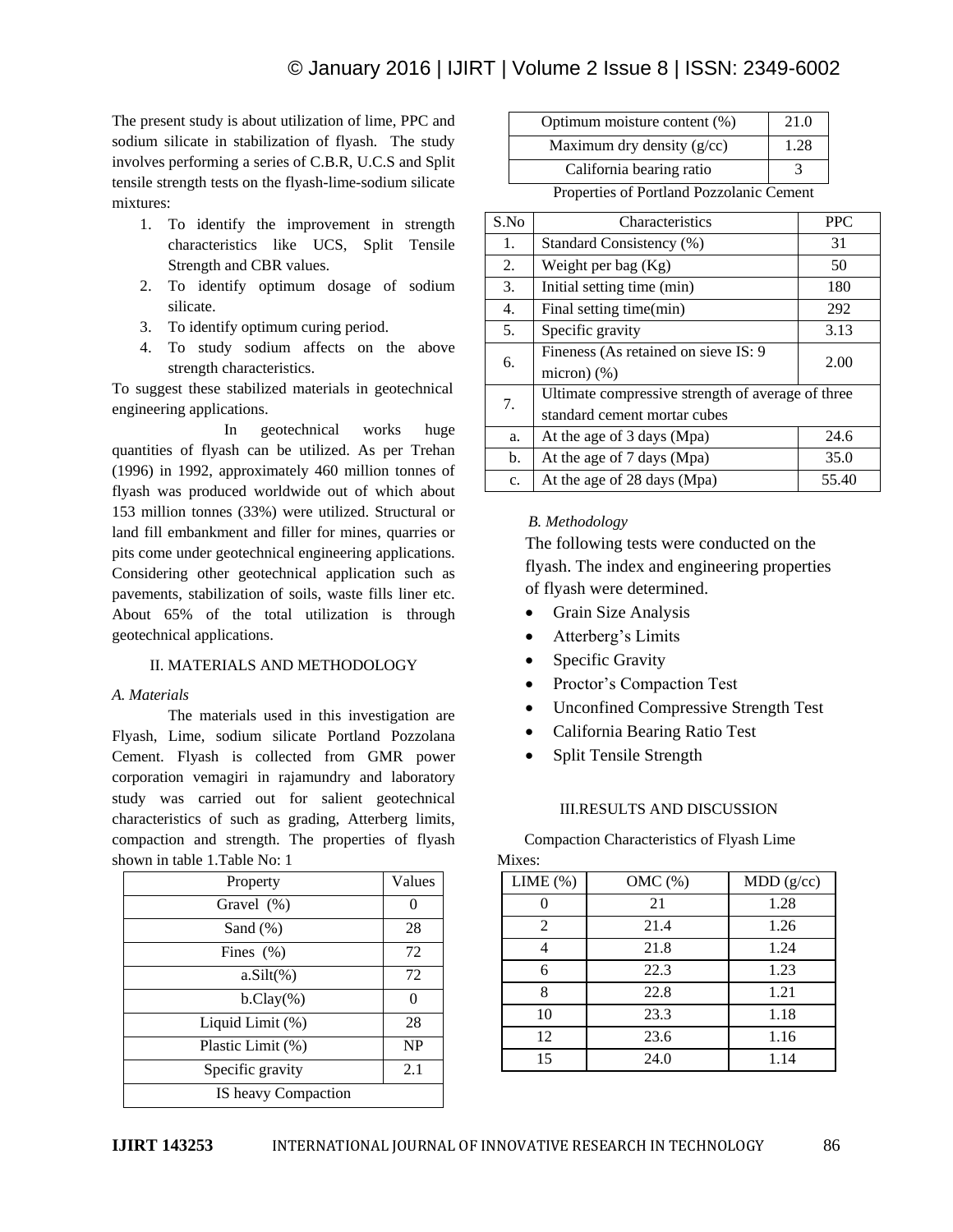The present study is about utilization of lime, PPC and sodium silicate in stabilization of flyash. The study involves performing a series of C.B.R, U.C.S and Split tensile strength tests on the flyash-lime-sodium silicate mixtures:

- 1. To identify the improvement in strength characteristics like UCS, Split Tensile Strength and CBR values.
- 2. To identify optimum dosage of sodium silicate.
- 3. To identify optimum curing period.
- 4. To study sodium affects on the above strength characteristics.

To suggest these stabilized materials in geotechnical engineering applications.

In geotechnical works huge quantities of flyash can be utilized. As per Trehan (1996) in 1992, approximately 460 million tonnes of flyash was produced worldwide out of which about 153 million tonnes (33%) were utilized. Structural or land fill embankment and filler for mines, quarries or pits come under geotechnical engineering applications. Considering other geotechnical application such as pavements, stabilization of soils, waste fills liner etc. About 65% of the total utilization is through geotechnical applications.

## II. MATERIALS AND METHODOLOGY

## *A. Materials*

The materials used in this investigation are Flyash, Lime, sodium silicate Portland Pozzolana Cement. Flyash is collected from GMR power corporation vemagiri in rajamundry and laboratory study was carried out for salient geotechnical characteristics of such as grading, Atterberg limits, compaction and strength. The properties of flyash shown in table 1.Table No: 1

| Property            | Values        |
|---------------------|---------------|
| Gravel $(\%)$       |               |
| Sand (%)            | 28            |
| Fines $(\%)$        | 72            |
| $a.Silt(\%)$        | 72            |
| $b.Clay(\%)$        | $\mathcal{O}$ |
| Liquid Limit (%)    | 28            |
| Plastic Limit (%)   | <b>NP</b>     |
| Specific gravity    | 2.1           |
| IS heavy Compaction |               |

| Optimum moisture content (%) | 21.0 |
|------------------------------|------|
| Maximum dry density $(g/cc)$ | 1.28 |
| California bearing ratio     |      |

Properties of Portland Pozzolanic Cement

| S.No             | Characteristics                                   | <b>PPC</b> |  |
|------------------|---------------------------------------------------|------------|--|
| 1.               | Standard Consistency (%)                          | 31         |  |
| 2.               | Weight per bag $(Kg)$                             | 50         |  |
| 3.               | Initial setting time (min)                        | 180        |  |
| $\overline{4}$ . | Final setting time(min)                           | 292        |  |
| 5.               | Specific gravity                                  | 3.13       |  |
| 6.               | Fineness (As retained on sieve IS: 9)             | 2.00       |  |
|                  | micron $)(\%)$                                    |            |  |
| 7.               | Ultimate compressive strength of average of three |            |  |
|                  | standard cement mortar cubes                      |            |  |
| a.               | At the age of 3 days (Mpa)                        | 24.6       |  |
| b.               | At the age of 7 days (Mpa)                        | 35.0       |  |
| c.               | At the age of 28 days (Mpa)                       | 55.40      |  |

## *B. Methodology*

The following tests were conducted on the flyash. The index and engineering properties of flyash were determined.

- Grain Size Analysis
- Atterberg's Limits
- Specific Gravity
- Proctor's Compaction Test
- Unconfined Compressive Strength Test
- California Bearing Ratio Test
- Split Tensile Strength

## III.RESULTS AND DISCUSSION

 Compaction Characteristics of Flyash Lime Mives:

| IVILAUS.    |           |           |
|-------------|-----------|-----------|
| LIME $(\%)$ | $OMC(\%)$ | MDD(g/cc) |
|             | 21        | 1.28      |
| 2           | 21.4      | 1.26      |
|             | 21.8      | 1.24      |
| 6           | 22.3      | 1.23      |
| 8           | 22.8      | 1.21      |
| 10          | 23.3      | 1.18      |
| 12          | 23.6      | 1.16      |
| 15          | 24.0      | 1.14      |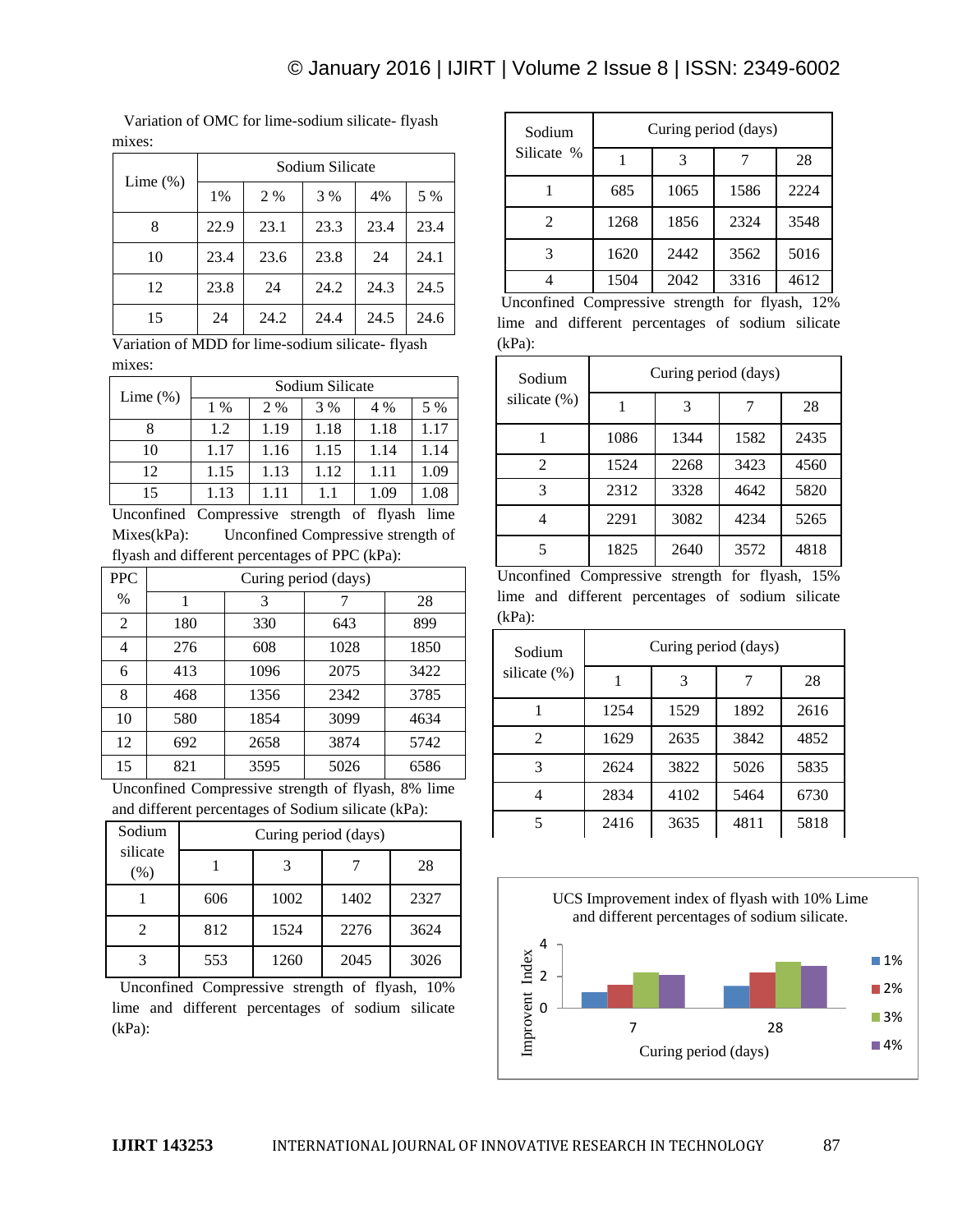Variation of OMC for lime-sodium silicate- flyash mixes:

|             |      |      | Sodium Silicate |      |      |
|-------------|------|------|-----------------|------|------|
| Lime $(\%)$ | 1%   | 2 %  | 3 %             | 4%   | 5 %  |
| 8           | 22.9 | 23.1 | 23.3            | 23.4 | 23.4 |
| 10          | 23.4 | 23.6 | 23.8            | 24   | 24.1 |
| 12          | 23.8 | 24   | 24.2            | 24.3 | 24.5 |
| 15          | 24   | 24.2 | 24.4            | 24.5 | 24.6 |

Variation of MDD for lime-sodium silicate- flyash mixes:

| Lime $(\%)$ |       |      | Sodium Silicate |      |      |
|-------------|-------|------|-----------------|------|------|
|             | $1\%$ | 2 %  | 3 %             | 4 %  | 5 %  |
|             | 1.2   | 1.19 | 1.18            | 1.18 | 1.17 |
| 10          | 1.17  | 1.16 | 1.15            | 1.14 | 1.14 |
| 12          | 1.15  | 1.13 | 1.12            | 1.11 | 1.09 |
| 15          | 1.13  | 1.11 | 1.1             | 1.09 | 1.08 |

Unconfined Compressive strength of flyash lime Mixes(kPa): Unconfined Compressive strength of flyash and different percentages of PPC (kPa):

| <b>PPC</b> | Curing period (days) |      |      |      |  |
|------------|----------------------|------|------|------|--|
| $\%$       | 1                    | 3    | 7    | 28   |  |
| 2          | 180                  | 330  | 643  | 899  |  |
| 4          | 276                  | 608  | 1028 | 1850 |  |
| 6          | 413                  | 1096 | 2075 | 3422 |  |
| 8          | 468                  | 1356 | 2342 | 3785 |  |
| 10         | 580                  | 1854 | 3099 | 4634 |  |
| 12         | 692                  | 2658 | 3874 | 5742 |  |
| 15         | 821                  | 3595 | 5026 | 6586 |  |

Unconfined Compressive strength of flyash, 8% lime and different percentages of Sodium silicate (kPa):

| Sodium          |     | Curing period (days) |      |      |
|-----------------|-----|----------------------|------|------|
| silicate<br>(%) |     | 3                    |      | 28   |
|                 | 606 | 1002                 | 1402 | 2327 |
| 2               | 812 | 1524                 | 2276 | 3624 |
|                 | 553 | 1260                 | 2045 | 3026 |

 Unconfined Compressive strength of flyash, 10% lime and different percentages of sodium silicate (kPa):

| Sodium                          |      |      | Curing period (days) |                    |
|---------------------------------|------|------|----------------------|--------------------|
| Silicate %                      |      | 3    |                      | 28                 |
|                                 | 685  | 1065 | 1586                 | 2224               |
| 2                               | 1268 | 1856 | 2324                 | 3548               |
| 3                               | 1620 | 2442 | 3562                 | 5016               |
| $\sim$ $1\sigma$ .<br><b>FT</b> | 1504 | 2042 | 3316                 | 4612<br>$1\bigcap$ |

Unconfined Compressive strength for flyash, 12% lime and different percentages of sodium silicate (kPa):

| Sodium          | Curing period (days) |      |      |      |
|-----------------|----------------------|------|------|------|
| silicate $(\%)$ |                      |      |      | 28   |
|                 | 1086                 | 1344 | 1582 | 2435 |
| 2               | 1524                 | 2268 | 3423 | 4560 |
| 3               | 2312                 | 3328 | 4642 | 5820 |
|                 | 2291                 | 3082 | 4234 | 5265 |
|                 | 1825                 | 2640 | 3572 | 4818 |

Unconfined Compressive strength for flyash, 15% lime and different percentages of sodium silicate (kPa):

| Sodium       |      | Curing period (days) |      |      |
|--------------|------|----------------------|------|------|
| silicate (%) |      | 3                    |      | 28   |
|              | 1254 | 1529                 | 1892 | 2616 |
| 2            | 1629 | 2635                 | 3842 | 4852 |
| 3            | 2624 | 3822                 | 5026 | 5835 |
|              | 2834 | 4102                 | 5464 | 6730 |
| 5            | 2416 | 3635                 | 4811 | 5818 |

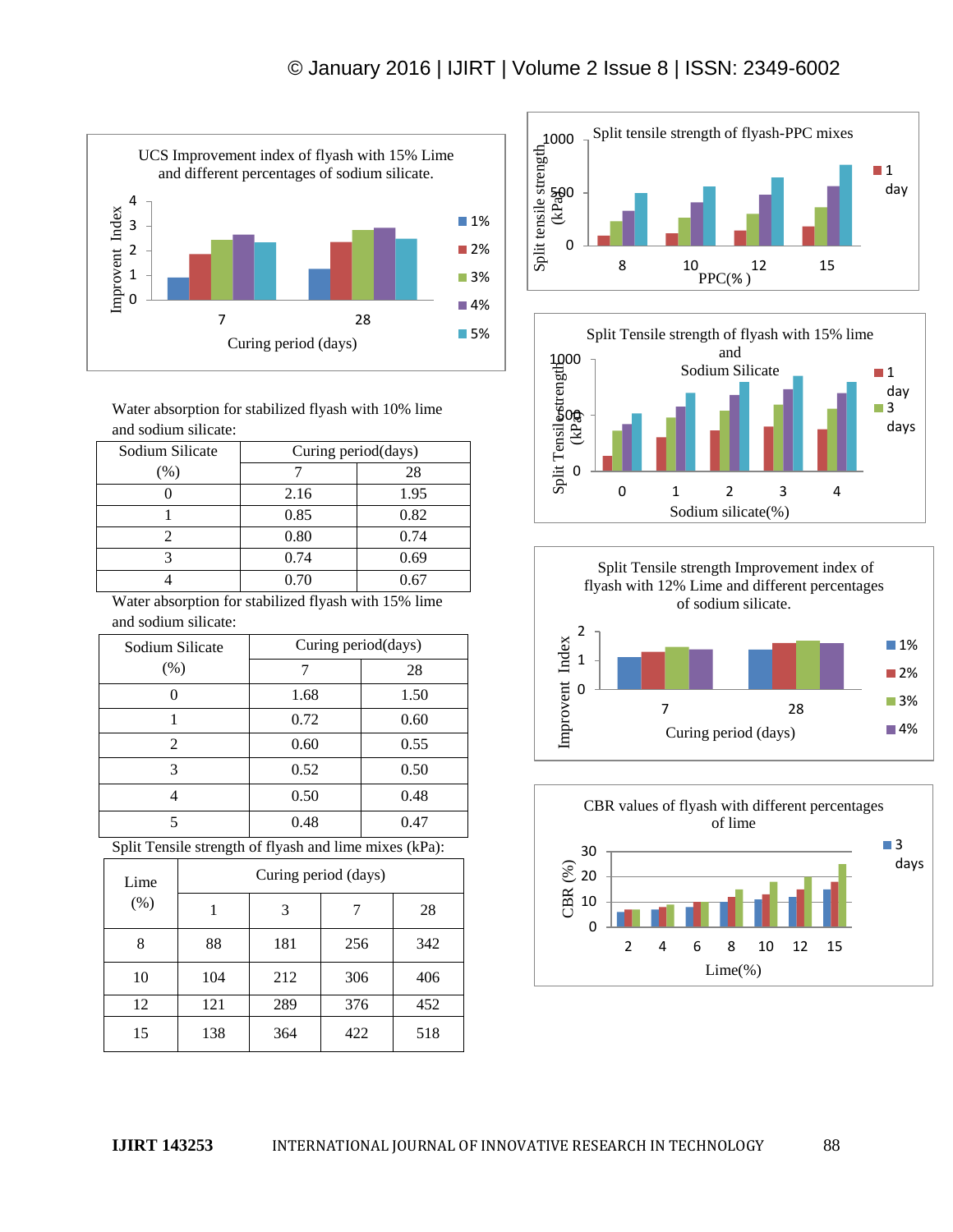

Water absorption for stabilized flyash with 10% lime and sodium silicate:

| Sodium Silicate | Curing period(days) |      |  |
|-----------------|---------------------|------|--|
| (% )            |                     | 28   |  |
|                 | 2.16                | 1.95 |  |
|                 | 0.85                | 0.82 |  |
|                 | 0.80                | 0.74 |  |
|                 | 0.74                | 0.69 |  |
|                 | 0.70                | 0.67 |  |

Water absorption for stabilized flyash with 15% lime and sodium silicate:

| Sodium Silicate       | Curing period(days) |      |
|-----------------------|---------------------|------|
| (% )                  |                     | 28   |
|                       | 1.68                | 1.50 |
|                       | 0.72                | 0.60 |
| $\mathcal{D}_{\cdot}$ | 0.60                | 0.55 |
| 3                     | 0.52                | 0.50 |
|                       | 0.50                | 0.48 |
|                       | 0.48                | 0.47 |

Split Tensile strength of flyash and lime mixes (kPa):

| Lime<br>(% ) | Curing period (days) |     |     |     |
|--------------|----------------------|-----|-----|-----|
|              |                      | 3   |     | 28  |
| 8            | 88                   | 181 | 256 | 342 |
| 10           | 104                  | 212 | 306 | 406 |
| 12           | 121                  | 289 | 376 | 452 |
| 15           | 138                  | 364 | 422 | 518 |







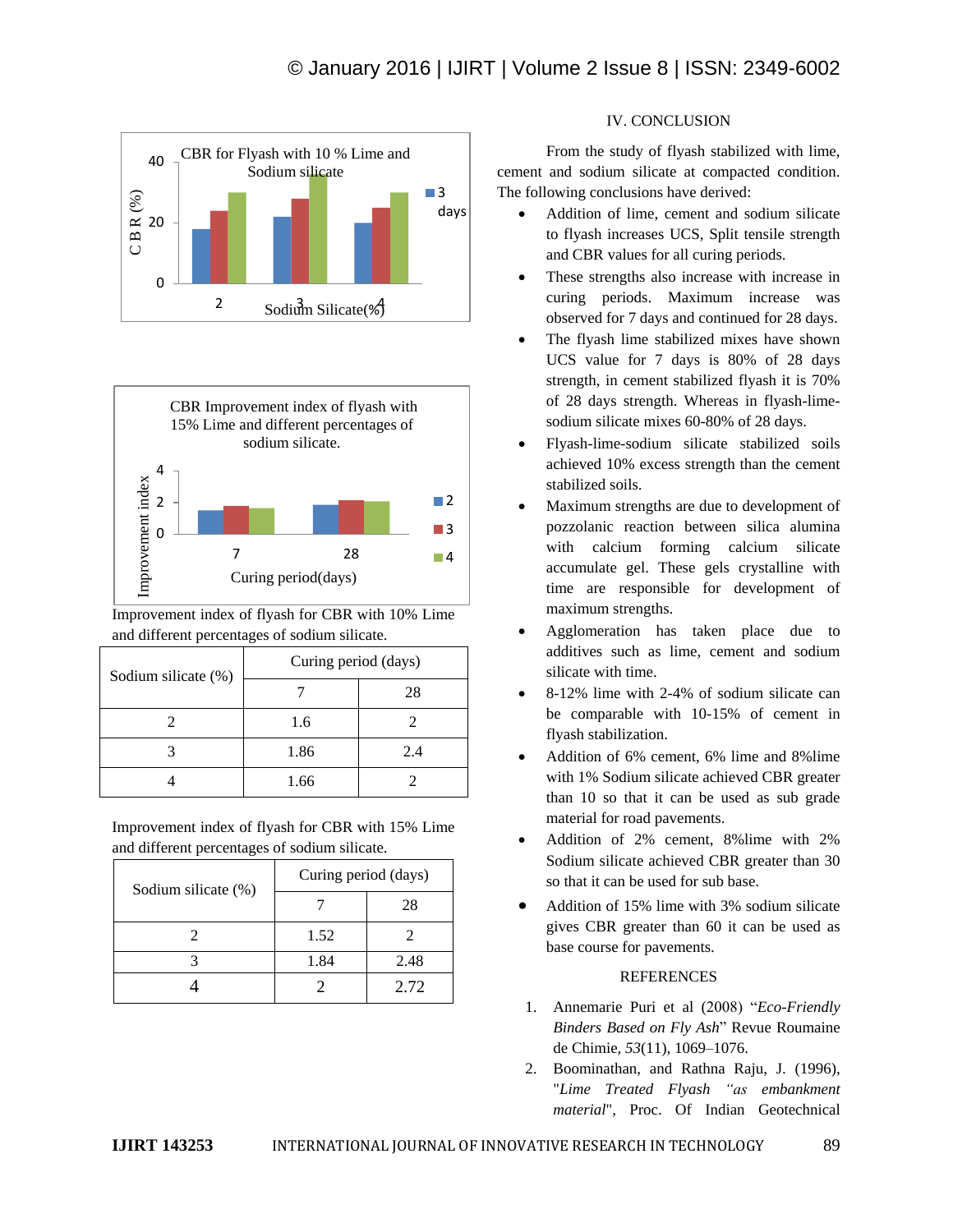



Improvement index of flyash for CBR with 10% Lime and different percentages of sodium silicate.

| Sodium silicate (%) | Curing period (days) |     |  |
|---------------------|----------------------|-----|--|
|                     |                      | 28  |  |
|                     | 1.6                  |     |  |
|                     | 1.86                 | 2.4 |  |
|                     | 1.66                 |     |  |

Improvement index of flyash for CBR with 15% Lime and different percentages of sodium silicate.

| Sodium silicate (%) | Curing period (days) |      |
|---------------------|----------------------|------|
|                     |                      | 28   |
|                     | 1.52                 |      |
|                     | 1.84                 | 2.48 |
|                     |                      | 2.72 |

#### IV. CONCLUSION

From the study of flyash stabilized with lime, cement and sodium silicate at compacted condition. The following conclusions have derived:

- Addition of lime, cement and sodium silicate to flyash increases UCS, Split tensile strength and CBR values for all curing periods.
- These strengths also increase with increase in curing periods. Maximum increase was observed for 7 days and continued for 28 days.
- The flyash lime stabilized mixes have shown UCS value for 7 days is 80% of 28 days strength, in cement stabilized flyash it is 70% of 28 days strength. Whereas in flyash-limesodium silicate mixes 60-80% of 28 days.
- Flyash-lime-sodium silicate stabilized soils achieved 10% excess strength than the cement stabilized soils.
- Maximum strengths are due to development of pozzolanic reaction between silica alumina with calcium forming calcium silicate accumulate gel. These gels crystalline with time are responsible for development of maximum strengths.
- Agglomeration has taken place due to additives such as lime, cement and sodium silicate with time.
- 8-12% lime with 2-4% of sodium silicate can be comparable with 10-15% of cement in flyash stabilization.
- Addition of 6% cement, 6% lime and 8%lime with 1% Sodium silicate achieved CBR greater than 10 so that it can be used as sub grade material for road pavements.
- Addition of 2% cement, 8%lime with 2% Sodium silicate achieved CBR greater than 30 so that it can be used for sub base.
- Addition of 15% lime with 3% sodium silicate gives CBR greater than 60 it can be used as base course for pavements.

## REFERENCES

- 1. Annemarie Puri et al (2008) "*Eco-Friendly Binders Based on Fly Ash*" Revue Roumaine de Chimie*, 53*(11), 1069–1076.
- 2. Boominathan, and Rathna Raju, J. (1996), "*Lime Treated Flyash "as embankment material*", Proc. Of Indian Geotechnical